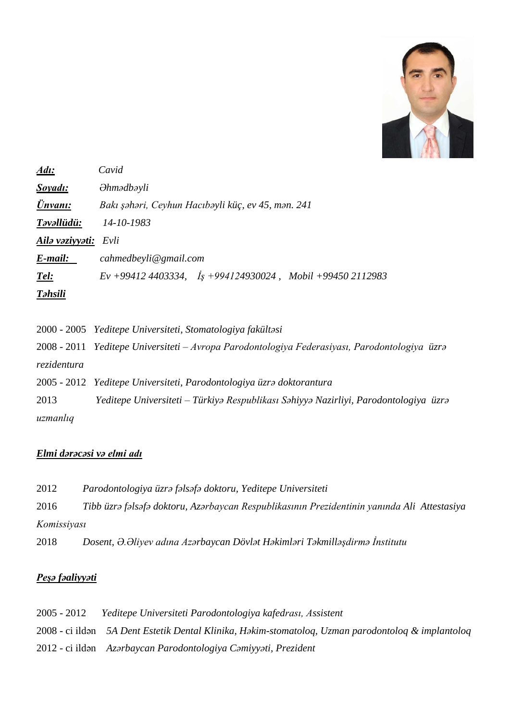

| Adı:            | Cavid                                                             |
|-----------------|-------------------------------------------------------------------|
| Soyadı:         | $\partial$ <i>hmədbəyli</i>                                       |
| Ünvanı:         | Bakı şəhəri, Ceyhun Hacıbəyli küç, ev 45, mən. 241                |
| Təvəllüdü:      | 14-10-1983                                                        |
| Ailə vəziyyəti: | Evli                                                              |
| E-mail:         | cahmedbeyli@gmail.com                                             |
| Tel:            | $Ev + 994124403334$ , $I_s + 994124930024$ , Mobil +99450 2112983 |
| <b>T</b> əhsili |                                                                   |

|             | 2000 - 2005 Yeditepe Universiteti, Stomatologiya fakültəsi                                    |
|-------------|-----------------------------------------------------------------------------------------------|
|             | 2008 - 2011 Yeditepe Universiteti – Avropa Parodontologiya Federasiyası, Parodontologiya üzrə |
| rezidentura |                                                                                               |
|             | 2005 - 2012 Yeditepe Universiteti, Parodontologiya üzrə doktorantura                          |
| 2013        | Yeditepe Universiteti – Türkiyə Respublikası Səhiyyə Nazirliyi, Parodontologiya üzrə          |
| uzmanlıq    |                                                                                               |

# *Elmi dərəcəsi və elmi adı*

| 2012        | Parodontologiya üzrə fəlsəfə doktoru, Yeditepe Universiteti                                 |
|-------------|---------------------------------------------------------------------------------------------|
| 2016        | Tibb üzrə fəlsəfə doktoru, Azərbaycan Respublikasının Prezidentinin yanında Ali Attestasiya |
| Komissiyası |                                                                                             |
| 2018        | Dosent, Ə.Əliyev adına Azərbaycan Dövlət Həkimləri Təkmilləşdirmə İnstitutu                 |

# *Peşə fəaliyyəti*

| $2005 - 2012$ | Yeditepe Universiteti Parodontologiya kafedrası, Assistent                                         |
|---------------|----------------------------------------------------------------------------------------------------|
|               | 2008 - ci ildən 5A Dent Estetik Dental Klinika, Həkim-stomatoloq, Uzman parodontoloq & implantoloq |
|               | 2012 - ci ildən Azərbaycan Parodontologiya Cəmiyyəti, Prezident                                    |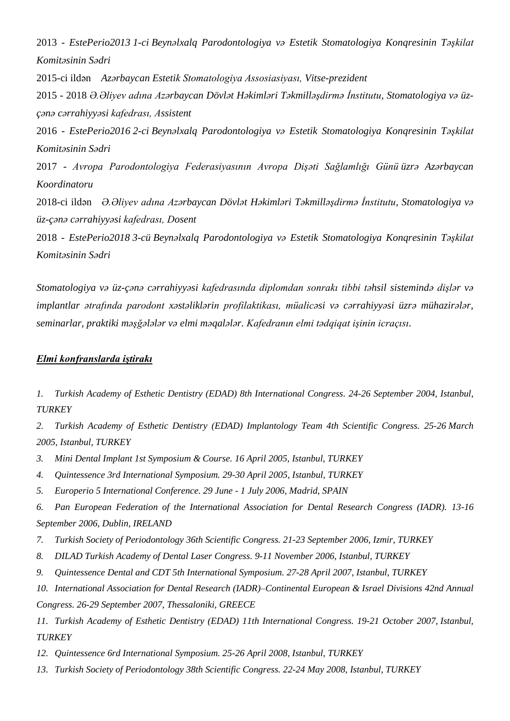2013 - *EstePerio2013 1-ci Beynəlxalq Parodontologiya və Estetik Stomatologiya Konqresinin Təşkilat Komitəsinin Sədri*

2015-ci ildən *Azərbaycan Estetik Stomatologiya Assosiasiyası, Vitse-prezident*

2015 - 2018 *Ə.Əliyev adına Azərbaycan Dövlət Həkimləri Təkmilləşdirmə İnstitutu, Stomatologiya və üzçənə cərrahiyyəsi kafedrası, Assistent*

2016 - *EstePerio2016 2-ci Beynəlxalq Parodontologiya və Estetik Stomatologiya Konqresinin Təşkilat Komitəsinin Sədri*

2017 - *Avropa Parodontologiya Federasiyasının Avropa Dişəti Sağlamlığı Günü üzrə [Azərbaycan](https://www.perio.az/efp-foto-musabigesi)  [Koordinatoru](https://www.perio.az/efp-foto-musabigesi)*

2018-ci ildən *Ə.Əliyev adına Azərbaycan Dövlət Həkimləri Təkmilləşdirmə İnstitutu, Stomatologiya və üz-çənə cərrahiyyəsi kafedrası, Dosent*

2018 - *EstePerio2018 3-cü Beynəlxalq Parodontologiya və Estetik Stomatologiya Konqresinin Təşkilat Komitəsinin Sədri*

*Stomatologiya və üz-çənə cərrahiyyəsi kafedrasında diplomdan sonrakı tibbi təhsil sistemində dişlər və implantlar ətrafında parodont xəstəliklərin profilaktikası, müalicəsi və cərrahiyyəsi üzrə mühazirələr, seminarlar, praktiki məşğələlər və elmi məqalələr. Kafedranın elmi tədqiqat işinin icraçısı.*

### *Elmi konfranslarda iştirakı*

*1. Turkish Academy of Esthetic Dentistry (EDAD) 8th International Congress. 24-26 September 2004, Istanbul, TURKEY*

*2. Turkish Academy of Esthetic Dentistry (EDAD) Implantology Team 4th Scientific Congress. 25-26 March 2005, Istanbul, TURKEY*

*3. Mini Dental Implant 1st Symposium & Course. 16 April 2005, Istanbul, TURKEY*

*4. Quintessence 3rd International Symposium. 29-30 April 2005, Istanbul, TURKEY*

*5. Europerio 5 International Conference. 29 June - 1 July 2006, Madrid, SPAIN*

*6. Pan European Federation of the International Association for Dental Research Congress (IADR). 13-16 September 2006, Dublin, IRELAND*

- *7. Turkish Society of Periodontology 36th Scientific Congress. 21-23 September 2006, Izmir, TURKEY*
- *8. DILAD Turkish Academy of Dental Laser Congress. 9-11 November 2006, Istanbul, TURKEY*
- *9. Quintessence Dental and CDT 5th International Symposium. 27-28 April 2007, Istanbul, TURKEY*

*10. International Association for Dental Research (IADR)–Continental European & Israel Divisions 42nd Annual Congress. 26-29 September 2007, Thessaloniki, GREECE*

*11. Turkish Academy of Esthetic Dentistry (EDAD) 11th International Congress. 19-21 October 2007, Istanbul, TURKEY*

*12. Quintessence 6rd International Symposium. 25-26 April 2008, Istanbul, TURKEY*

*13. Turkish Society of Periodontology 38th Scientific Congress. 22-24 May 2008, Istanbul, TURKEY*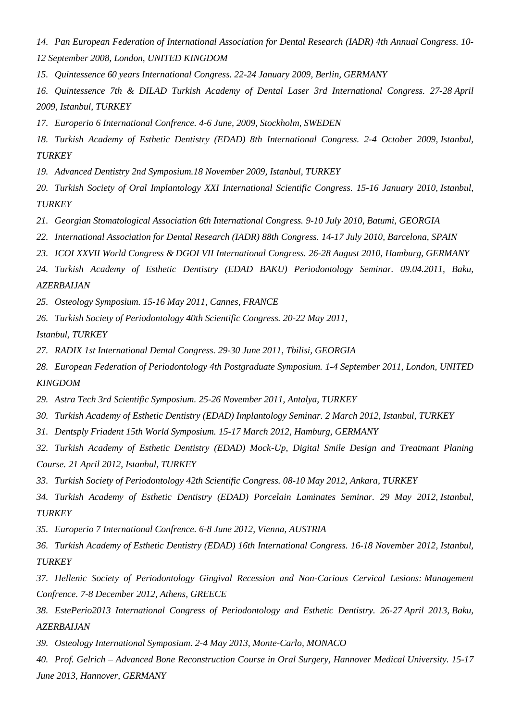- *14. Pan European Federation of International Association for Dental Research (IADR) 4th Annual Congress. 10- 12 September 2008, London, UNITED KINGDOM*
- *15. Quintessence 60 years International Congress. 22-24 January 2009, Berlin, GERMANY*
- *16. Quintessence 7th & DILAD Turkish Academy of Dental Laser 3rd International Congress. 27-28 April 2009, Istanbul, TURKEY*
- *17. Europerio 6 International Confrence. 4-6 June, 2009, Stockholm, SWEDEN*
- *18. Turkish Academy of Esthetic Dentistry (EDAD) 8th International Congress. 2-4 October 2009, Istanbul, TURKEY*
- *19. Advanced Dentistry 2nd Symposium.18 November 2009, Istanbul, TURKEY*
- *20. Turkish Society of Oral Implantology XXI International Scientific Congress. 15-16 January 2010, Istanbul, TURKEY*
- *21. Georgian Stomatological Association 6th International Congress. 9-10 July 2010, Batumi, GEORGIA*
- *22. International Association for Dental Research (IADR) 88th Congress. 14-17 July 2010, Barcelona, SPAIN*
- *23. ICOI XXVII World Congress & DGOI VII International Congress. 26-28 August 2010, Hamburg, GERMANY*
- *24. Turkish Academy of Esthetic Dentistry (EDAD BAKU) Periodontology Seminar. 09.04.2011, Baku, AZERBAIJAN*
- *25. Osteology Symposium. 15-16 May 2011, Cannes, FRANCE*
- *26. Turkish Society of Periodontology 40th Scientific Congress. 20-22 May 2011,*
- *Istanbul, TURKEY*
- *27. RADIX 1st International Dental Congress. 29-30 June 2011, Tbilisi, GEORGIA*
- *28. European Federation of Periodontology 4th Postgraduate Symposium. 1-4 September 2011, London, UNITED KINGDOM*
- *29. Astra Tech 3rd Scientific Symposium. 25-26 November 2011, Antalya, TURKEY*
- *30. Turkish Academy of Esthetic Dentistry (EDAD) Implantology Seminar. 2 March 2012, Istanbul, TURKEY*
- *31. Dentsply Friadent 15th World Symposium. 15-17 March 2012, Hamburg, GERMANY*
- *32. Turkish Academy of Esthetic Dentistry (EDAD) Mock-Up, Digital Smile Design and Treatmant Planing Course. 21 April 2012, Istanbul, TURKEY*
- *33. Turkish Society of Periodontology 42th Scientific Congress. 08-10 May 2012, Ankara, TURKEY*
- *34. Turkish Academy of Esthetic Dentistry (EDAD) Porcelain Laminates Seminar. 29 May 2012, Istanbul, TURKEY*
- *35. Europerio 7 International Confrence. 6-8 June 2012, Vienna, AUSTRIA*
- *36. Turkish Academy of Esthetic Dentistry (EDAD) 16th International Congress. 16-18 November 2012, Istanbul, TURKEY*
- *37. Hellenic Society of Periodontology Gingival Recession and Non-Carious Cervical Lesions: Management Confrence. 7-8 December 2012, Athens, GREECE*
- *38. EstePerio2013 International Congress of Periodontology and Esthetic Dentistry. 26-27 April 2013, Baku, AZERBAIJAN*
- *39. Osteology International Symposium. 2-4 May 2013, Monte-Carlo, MONACO*
- *40. Prof. Gelrich – Advanced Bone Reconstruction Course in Oral Surgery, Hannover Medical University. 15-17 June 2013, Hannover, GERMANY*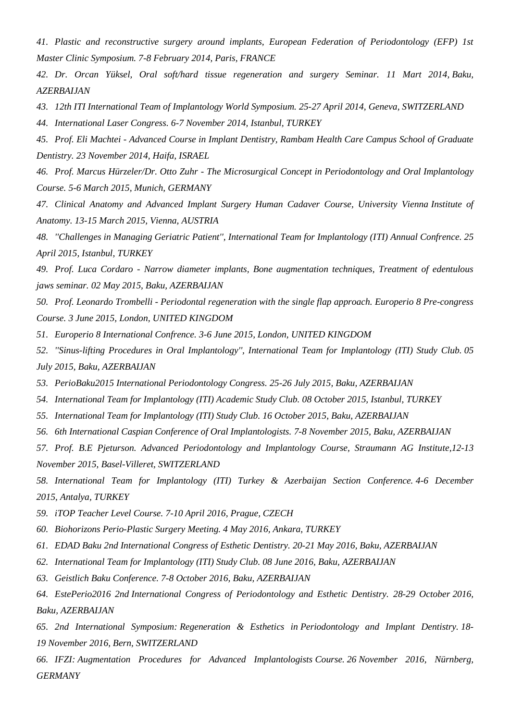*41. Plastic and reconstructive surgery around implants, European Federation of Periodontology (EFP) 1st Master Clinic Symposium. 7-8 February 2014, Paris, FRANCE*

*42. Dr. Orcan Yüksel, Oral soft/hard tissue regeneration and surgery Seminar. 11 Mart 2014, Baku, AZERBAIJAN*

*43. 12th ITI International Team of Implantology World Symposium. 25-27 April 2014, Geneva, SWITZERLAND*

*44. International Laser Congress. 6-7 November 2014, Istanbul, TURKEY*

*45. Prof. Eli Machtei - Advanced Course in Implant Dentistry, Rambam Health Care Campus School of Graduate Dentistry. 23 November 2014, Haifa, ISRAEL*

*46. Prof. Marcus Hürzeler/Dr. Otto Zuhr - The Microsurgical Concept in Periodontology and Oral Implantology Course. 5-6 March 2015, Munich, GERMANY*

*47. Clinical Anatomy and Advanced Implant Surgery Human Cadaver Course, University Vienna Institute of Anatomy. 13-15 March 2015, Vienna, AUSTRIA*

*48. ''Challenges in Managing Geriatric Patient'', International Team for Implantology (ITI) Annual Confrence. 25 April 2015, Istanbul, TURKEY*

*49. Prof. Luca Cordaro - Narrow diameter implants, Bone augmentation techniques, Treatment of edentulous jaws seminar. 02 May 2015, Baku, AZERBAIJAN*

*50. Prof. Leonardo Trombelli - Periodontal regeneration with the single flap approach. Europerio 8 Pre-congress Course. 3 June 2015, London, UNITED KINGDOM*

- *51. Europerio 8 International Confrence. 3-6 June 2015, London, UNITED KINGDOM*
- *52. ''Sinus-lifting Procedures in Oral Implantology'', International Team for Implantology (ITI) Study Club. 05 July 2015, Baku, AZERBAIJAN*
- *53. PerioBaku2015 International Periodontology Congress. 25-26 July 2015, Baku, AZERBAIJAN*
- *54. International Team for Implantology (ITI) Academic Study Club. 08 October 2015, Istanbul, TURKEY*
- *55. International Team for Implantology (ITI) Study Club. 16 October 2015, Baku, AZERBAIJAN*
- *56. 6th International Caspian Conference of Oral Implantologists. 7-8 November 2015, Baku, AZERBAIJAN*

*57. Prof. B.E Pjeturson. Advanced Periodontology and Implantology Course, Straumann AG Institute,12-13 November 2015, Basel-Villeret, SWITZERLAND*

*58. International Team for Implantology (ITI) Turkey & Azerbaijan Section Conference. 4-6 December 2015, Antalya, TURKEY*

- *59. iTOP Teacher Level Course. 7-10 April 2016, Prague, CZECH*
- *60. Biohorizons Perio-Plastic Surgery Meeting. 4 May 2016, Ankara, TURKEY*
- *61. EDAD Baku 2nd International Congress of Esthetic Dentistry. 20-21 May 2016, Baku, AZERBAIJAN*
- *62. International Team for Implantology (ITI) Study Club. 08 June 2016, Baku, AZERBAIJAN*
- *63. Geistlich Baku Conference. 7-8 October 2016, Baku, AZERBAIJAN*

*64. EstePerio2016 2nd International Congress of Periodontology and Esthetic Dentistry. 28-29 October 2016, Baku, AZERBAIJAN*

*65. 2nd International Symposium: Regeneration & Esthetics in Periodontology and Implant Dentistry. 18- 19 November 2016, Bern, SWITZERLAND*

*66. IFZI: Augmentation Procedures for Advanced Implantologists Course. 26 November 2016, Nürnberg, GERMANY*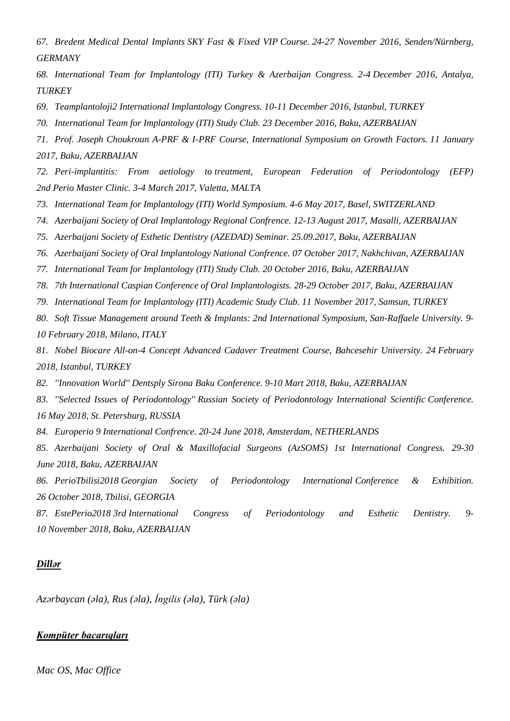*67. Bredent Medical Dental Implants SKY Fast & Fixed VIP Course. 24-27 November 2016, Senden/Nürnberg, GERMANY*

*68. International Team for Implantology (ITI) Turkey & Azerbaijan Congress. 2-4 December 2016, Antalya, TURKEY*

- *69. Teamplantoloji2 International Implantology Congress. 10-11 December 2016, Istanbul, TURKEY*
- *70. International Team for Implantology (ITI) Study Club. 23 December 2016, Baku, AZERBAIJAN*

*71. Prof. Joseph Choukroun A-PRF & I-PRF Course, International Symposium on Growth Factors. 11 January 2017, Baku, AZERBAIJAN*

*72. Peri-implantitis: From aetiology to treatment, European Federation of Periodontology (EFP) 2nd Perio Master Clinic. 3-4 March 2017, Valetta, MALTA*

- *73. International Team for Implantology (ITI) World Symposium. 4-6 May 2017, Basel, SWITZERLAND*
- *74. Azerbaijani Society of Oral Implantology Regional Confrence. 12-13 August 2017, Masalli, AZERBAIJAN*
- *75. Azerbaijani Society of Esthetic Dentistry (AZEDAD) Seminar. 25.09.2017, Baku, AZERBAIJAN*
- *76. Azerbaijani Society of Oral Implantology National Confrence. 07 October 2017, Nakhchivan, AZERBAIJAN*
- *77. International Team for Implantology (ITI) Study Club. 20 October 2016, Baku, AZERBAIJAN*
- *78. 7th International Caspian Conference of Oral Implantologists. 28-29 October 2017, Baku, AZERBAIJAN*
- *79. International Team for Implantology (ITI) Academic Study Club. 11 November 2017, Samsun, TURKEY*
- *80. Soft Tissue Management around Teeth & Implants: 2nd International Symposium, San-Raffaele University. 9- 10 February 2018, Milano, ITALY*

*81. Nobel Biocare All-on-4 Concept Advanced Cadaver Treatment Course, Bahcesehir University. 24 February 2018, Istanbul, TURKEY*

*82. ''Innovation World'' Dentsply Sirona Baku Conference. 9-10 Mart 2018, Baku, AZERBAIJAN*

*83. ''Selected Issues of Periodontology'' Russian Society of Periodontology International Scientific Conference. 16 May 2018, St. Petersburg, RUSSIA*

*84. Europerio 9 International Confrence. 20-24 June 2018, Amsterdam, NETHERLANDS*

*85. Azerbaijani Society of Oral & Maxillofacial Surgeons (AzSOMS) 1st International Congress. 29-30 June 2018, Baku, AZERBAIJAN*

*86. PerioTbilisi2018 Georgian Society of Periodontology International Conference & Exhibition. 26 October 2018, Tbilisi, GEORGIA*

*87. EstePerio2018 3rd International Congress of Periodontology and Esthetic Dentistry. 9- 10 November 2018, Baku, AZERBAIJAN*

#### *Dillər*

*Azərbaycan (əla), Rus (əla), İngilis (əla), Türk (əla)*

## *Kompüter bacarıqları*

*Mac OS, Mac Office*